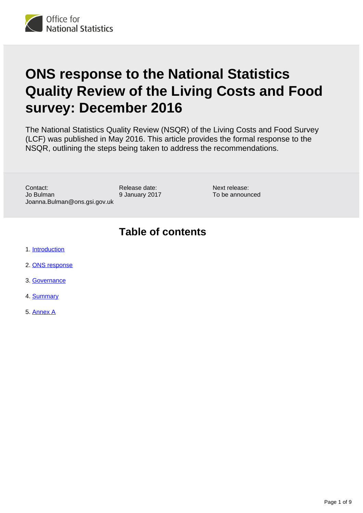

# **ONS response to the National Statistics Quality Review of the Living Costs and Food survey: December 2016**

The National Statistics Quality Review (NSQR) of the Living Costs and Food Survey (LCF) was published in May 2016. This article provides the formal response to the NSQR, outlining the steps being taken to address the recommendations.

Contact: Jo Bulman Joanna.Bulman@ons.gsi.gov.uk

Release date: 9 January 2017 Next release: To be announced

#### **Table of contents**

- 1. [Introduction](#page-1-0)
- 2. [ONS response](#page-1-1)
- 3. [Governance](#page-2-0)
- 4. [Summary](#page-2-1)
- 5. [Annex A](#page-3-0)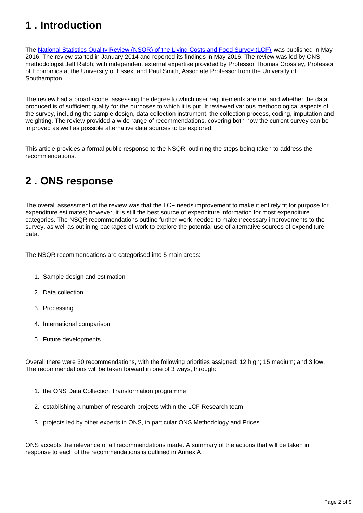# <span id="page-1-0"></span>**1 . Introduction**

The [National Statistics Quality Review \(NSQR\) of the Living Costs and Food Survey \(LCF\)](http://www.ons.gov.uk/peoplepopulationandcommunity/personalandhouseholdfinances/incomeandwealth/methodologies/nsqrseries2reportnumber3livingcostsandfoodsurvey) was published in May 2016. The review started in January 2014 and reported its findings in May 2016. The review was led by ONS methodologist Jeff Ralph; with independent external expertise provided by Professor Thomas Crossley, Professor of Economics at the University of Essex; and Paul Smith, Associate Professor from the University of Southampton.

The review had a broad scope, assessing the degree to which user requirements are met and whether the data produced is of sufficient quality for the purposes to which it is put. It reviewed various methodological aspects of the survey, including the sample design, data collection instrument, the collection process, coding, imputation and weighting. The review provided a wide range of recommendations, covering both how the current survey can be improved as well as possible alternative data sources to be explored.

This article provides a formal public response to the NSQR, outlining the steps being taken to address the recommendations.

## <span id="page-1-1"></span>**2 . ONS response**

The overall assessment of the review was that the LCF needs improvement to make it entirely fit for purpose for expenditure estimates; however, it is still the best source of expenditure information for most expenditure categories. The NSQR recommendations outline further work needed to make necessary improvements to the survey, as well as outlining packages of work to explore the potential use of alternative sources of expenditure data.

The NSQR recommendations are categorised into 5 main areas:

- 1. Sample design and estimation
- 2. Data collection
- 3. Processing
- 4. International comparison
- 5. Future developments

Overall there were 30 recommendations, with the following priorities assigned: 12 high; 15 medium; and 3 low. The recommendations will be taken forward in one of 3 ways, through:

- 1. the ONS Data Collection Transformation programme
- 2. establishing a number of research projects within the LCF Research team
- 3. projects led by other experts in ONS, in particular ONS Methodology and Prices

ONS accepts the relevance of all recommendations made. A summary of the actions that will be taken in response to each of the recommendations is outlined in Annex A.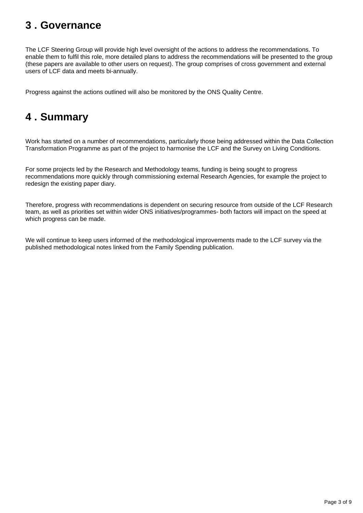#### <span id="page-2-0"></span>**3 . Governance**

The LCF Steering Group will provide high level oversight of the actions to address the recommendations. To enable them to fulfil this role, more detailed plans to address the recommendations will be presented to the group (these papers are available to other users on request). The group comprises of cross government and external users of LCF data and meets bi-annually.

Progress against the actions outlined will also be monitored by the ONS Quality Centre.

## <span id="page-2-1"></span>**4 . Summary**

Work has started on a number of recommendations, particularly those being addressed within the Data Collection Transformation Programme as part of the project to harmonise the LCF and the Survey on Living Conditions.

For some projects led by the Research and Methodology teams, funding is being sought to progress recommendations more quickly through commissioning external Research Agencies, for example the project to redesign the existing paper diary.

Therefore, progress with recommendations is dependent on securing resource from outside of the LCF Research team, as well as priorities set within wider ONS initiatives/programmes- both factors will impact on the speed at which progress can be made.

We will continue to keep users informed of the methodological improvements made to the LCF survey via the published methodological notes linked from the Family Spending publication.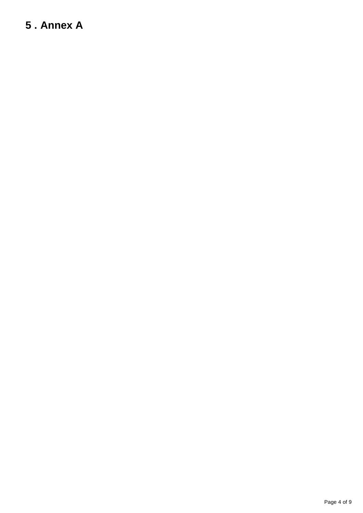# <span id="page-3-0"></span>**5 . Annex A**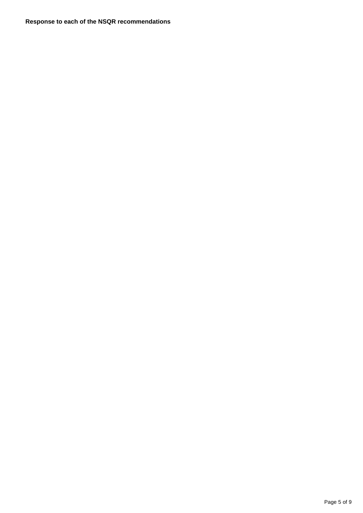**Response to each of the NSQR recommendations**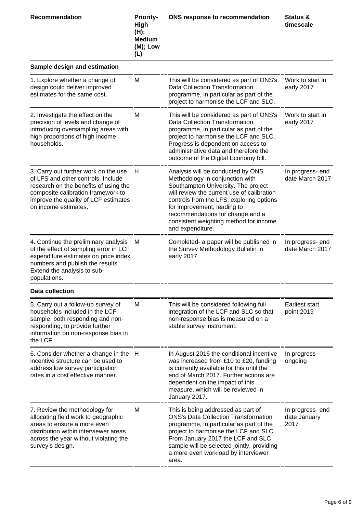| <b>Recommendation</b>                                                                                                                                                                                                     | <b>Priority-</b><br>High<br>(H);<br><b>Medium</b><br>(M); Low<br>(L) | ONS response to recommendation                                                                                                                                                                                                                                                                                                         | Status &<br>timescale                    |
|---------------------------------------------------------------------------------------------------------------------------------------------------------------------------------------------------------------------------|----------------------------------------------------------------------|----------------------------------------------------------------------------------------------------------------------------------------------------------------------------------------------------------------------------------------------------------------------------------------------------------------------------------------|------------------------------------------|
| Sample design and estimation                                                                                                                                                                                              |                                                                      |                                                                                                                                                                                                                                                                                                                                        |                                          |
| 1. Explore whether a change of<br>design could deliver improved<br>estimates for the same cost.                                                                                                                           | M                                                                    | This will be considered as part of ONS's<br><b>Data Collection Transformation</b><br>programme, in particular as part of the<br>project to harmonise the LCF and SLC.                                                                                                                                                                  | Work to start in<br>early 2017           |
| 2. Investigate the effect on the<br>precision of levels and change of<br>introducing oversampling areas with<br>high proportions of high income<br>households.                                                            | M                                                                    | This will be considered as part of ONS's<br>Data Collection Transformation<br>programme, in particular as part of the<br>project to harmonise the LCF and SLC.<br>Progress is dependent on access to<br>administrative data and therefore the<br>outcome of the Digital Economy bill.                                                  | Work to start in<br>early 2017           |
| 3. Carry out further work on the use<br>of LFS and other controls. Include<br>research on the benefits of using the<br>composite calibration framework to<br>improve the quality of LCF estimates<br>on income estimates. | H                                                                    | Analysis will be conducted by ONS<br>Methodology in conjunction with<br>Southampton University. The project<br>will review the current use of calibration<br>controls from the LFS, exploring options<br>for improvement, leading to<br>recommendations for change and a<br>consistent weighting method for income<br>and expenditure. | In progress- end<br>date March 2017      |
| 4. Continue the preliminary analysis<br>of the effect of sampling error in LCF<br>expenditure estimates on price index<br>numbers and publish the results.<br>Extend the analysis to sub-<br>populations.                 | M                                                                    | Completed- a paper will be published in<br>the Survey Methodology Bulletin in<br>early 2017.                                                                                                                                                                                                                                           | In progress-end<br>date March 2017       |
| <b>Data collection</b>                                                                                                                                                                                                    |                                                                      |                                                                                                                                                                                                                                                                                                                                        |                                          |
| 5. Carry out a follow-up survey of<br>households included in the LCF<br>sample, both responding and non-<br>responding, to provide further<br>information on non-response bias in<br>the LCF.                             | M                                                                    | This will be considered following full<br>integration of the LCF and SLC so that<br>non-response bias is measured on a<br>stable survey instrument.                                                                                                                                                                                    | Earliest start<br>point 2019             |
| 6. Consider whether a change in the<br>incentive structure can be used to<br>address low survey participation<br>rates in a cost effective manner.                                                                        | H                                                                    | In August 2016 the conditional incentive<br>was increased from £10 to £20, funding<br>is currently available for this until the<br>end of March 2017. Further actions are<br>dependent on the impact of this<br>measure, which will be reviewed in<br>January 2017.                                                                    | In progress-<br>ongoing                  |
| 7. Review the methodology for<br>allocating field work to geographic<br>areas to ensure a more even<br>distribution within interviewer areas<br>across the year without violating the<br>survey's design.                 | M                                                                    | This is being addressed as part of<br><b>ONS's Data Collection Transformation</b><br>programme, in particular as part of the<br>project to harmonise the LCF and SLC.<br>From January 2017 the LCF and SLC<br>sample will be selected jointly, providing<br>a more even workload by interviewer<br>area.                               | In progress- end<br>date January<br>2017 |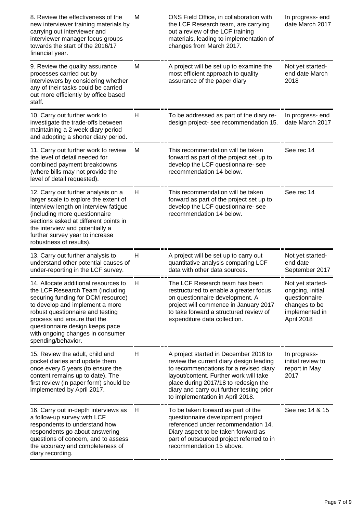| 8. Review the effectiveness of the<br>new interviewer training materials by<br>carrying out interviewer and<br>interviewer manager focus groups<br>towards the start of the 2016/17<br>financial year.                                                                                                            | M | ONS Field Office, in collaboration with<br>the LCF Research team, are carrying<br>out a review of the LCF training<br>materials, leading to implementation of<br>changes from March 2017.                                                                                                     | In progress-end<br>date March 2017                                                                     |
|-------------------------------------------------------------------------------------------------------------------------------------------------------------------------------------------------------------------------------------------------------------------------------------------------------------------|---|-----------------------------------------------------------------------------------------------------------------------------------------------------------------------------------------------------------------------------------------------------------------------------------------------|--------------------------------------------------------------------------------------------------------|
| 9. Review the quality assurance<br>processes carried out by<br>interviewers by considering whether<br>any of their tasks could be carried<br>out more efficiently by office based<br>staff.                                                                                                                       | M | A project will be set up to examine the<br>most efficient approach to quality<br>assurance of the paper diary                                                                                                                                                                                 | Not yet started-<br>end date March<br>2018                                                             |
| 10. Carry out further work to<br>investigate the trade-offs between<br>maintaining a 2 week diary period<br>and adopting a shorter diary period.                                                                                                                                                                  | Н | To be addressed as part of the diary re-<br>design project- see recommendation 15.                                                                                                                                                                                                            | In progress-end<br>date March 2017                                                                     |
| 11. Carry out further work to review<br>the level of detail needed for<br>combined payment breakdowns<br>(where bills may not provide the<br>level of detail requested).                                                                                                                                          | M | This recommendation will be taken<br>forward as part of the project set up to<br>develop the LCF questionnaire- see<br>recommendation 14 below.                                                                                                                                               | See rec 14                                                                                             |
| 12. Carry out further analysis on a<br>larger scale to explore the extent of<br>interview length on interview fatigue<br>(including more questionnaire<br>sections asked at different points in<br>the interview and potentially a<br>further survey year to increase<br>robustness of results).                  | Н | This recommendation will be taken<br>forward as part of the project set up to<br>develop the LCF questionnaire-see<br>recommendation 14 below.                                                                                                                                                | See rec 14                                                                                             |
| 13. Carry out further analysis to<br>understand other potential causes of<br>under-reporting in the LCF survey.                                                                                                                                                                                                   | H | A project will be set up to carry out<br>quantitative analysis comparing LCF<br>data with other data sources.                                                                                                                                                                                 | Not yet started-<br>end date<br>September 2017                                                         |
| 14. Allocate additional resources to<br>the LCF Research Team (including<br>securing funding for DCM resource)<br>to develop and implement a more<br>robust questionnaire and testing<br>process and ensure that the<br>questionnaire design keeps pace<br>with ongoing changes in consumer<br>spending/behavior. | H | The LCF Research team has been<br>restructured to enable a greater focus<br>on questionnaire development. A<br>project will commence in January 2017<br>to take forward a structured review of<br>expenditure data collection.                                                                | Not yet started-<br>ongoing, initial<br>questionnaire<br>changes to be<br>implemented in<br>April 2018 |
| 15. Review the adult, child and<br>pocket diaries and update them<br>once every 5 years (to ensure the<br>content remains up to date). The<br>first review (in paper form) should be<br>implemented by April 2017.                                                                                                | Н | A project started in December 2016 to<br>review the current diary design leading<br>to recommendations for a revised diary<br>layout/content. Further work will take<br>place during 2017/18 to redesign the<br>diary and carry out further testing prior<br>to implementation in April 2018. | In progress-<br>initial review to<br>report in May<br>2017                                             |
| 16. Carry out in-depth interviews as<br>a follow-up survey with LCF<br>respondents to understand how<br>respondents go about answering<br>questions of concern, and to assess<br>the accuracy and completeness of<br>diary recording.                                                                             | H | To be taken forward as part of the<br>questionnaire development project<br>referenced under recommendation 14.<br>Diary aspect to be taken forward as<br>part of outsourced project referred to in<br>recommendation 15 above.                                                                | See rec 14 & 15                                                                                        |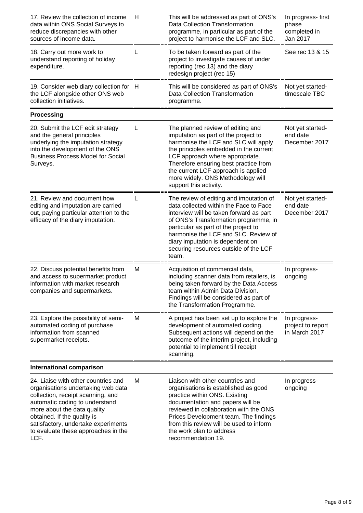| 17. Review the collection of income<br>data within ONS Social Surveys to<br>reduce discrepancies with other<br>sources of income data.                                                                                                                                                               | Н | This will be addressed as part of ONS's<br><b>Data Collection Transformation</b><br>programme, in particular as part of the<br>project to harmonise the LCF and SLC.                                                                                                                                                                          | In progress-first<br>phase<br>completed in<br>Jan 2017 |
|------------------------------------------------------------------------------------------------------------------------------------------------------------------------------------------------------------------------------------------------------------------------------------------------------|---|-----------------------------------------------------------------------------------------------------------------------------------------------------------------------------------------------------------------------------------------------------------------------------------------------------------------------------------------------|--------------------------------------------------------|
| 18. Carry out more work to<br>understand reporting of holiday<br>expenditure.                                                                                                                                                                                                                        |   | To be taken forward as part of the<br>project to investigate causes of under<br>reporting (rec 13) and the diary<br>redesign project (rec 15)                                                                                                                                                                                                 | See rec 13 & 15                                        |
| 19. Consider web diary collection for H<br>the LCF alongside other ONS web<br>collection initiatives.                                                                                                                                                                                                |   | This will be considered as part of ONS's<br><b>Data Collection Transformation</b><br>programme.                                                                                                                                                                                                                                               | Not yet started-<br>timescale TBC                      |
| <b>Processing</b>                                                                                                                                                                                                                                                                                    |   |                                                                                                                                                                                                                                                                                                                                               |                                                        |
| 20. Submit the LCF edit strategy<br>and the general principles<br>underlying the imputation strategy<br>into the development of the ONS<br><b>Business Process Model for Social</b><br>Surveys.                                                                                                      | L | The planned review of editing and<br>imputation as part of the project to<br>harmonise the LCF and SLC will apply<br>the principles embedded in the current<br>LCF approach where appropriate.<br>Therefore ensuring best practice from<br>the current LCF approach is applied<br>more widely. ONS Methodology will<br>support this activity. | Not yet started-<br>end date<br>December 2017          |
| 21. Review and document how<br>editing and imputation are carried<br>out, paying particular attention to the<br>efficacy of the diary imputation.                                                                                                                                                    | L | The review of editing and imputation of<br>data collected within the Face to Face<br>interview will be taken forward as part<br>of ONS's Transformation programme, in<br>particular as part of the project to<br>harmonise the LCF and SLC. Review of<br>diary imputation is dependent on<br>securing resources outside of the LCF<br>team.   | Not yet started-<br>end date<br>December 2017          |
| 22. Discuss potential benefits from<br>and access to supermarket product<br>information with market research<br>companies and supermarkets.                                                                                                                                                          | M | Acquisition of commercial data,<br>including scanner data from retailers, is<br>being taken forward by the Data Access<br>team within Admin Data Division.<br>Findings will be considered as part of<br>the Transformation Programme.                                                                                                         | In progress-<br>ongoing                                |
| 23. Explore the possibility of semi-<br>automated coding of purchase<br>information from scanned<br>supermarket receipts.                                                                                                                                                                            | M | A project has been set up to explore the<br>development of automated coding.<br>Subsequent actions will depend on the<br>outcome of the interim project, including<br>potential to implement till receipt<br>scanning.                                                                                                                        | In progress-<br>project to report<br>in March 2017     |
| <b>International comparison</b>                                                                                                                                                                                                                                                                      |   |                                                                                                                                                                                                                                                                                                                                               |                                                        |
| 24. Liaise with other countries and<br>organisations undertaking web data<br>collection, receipt scanning, and<br>automatic coding to understand<br>more about the data quality<br>obtained. If the quality is<br>satisfactory, undertake experiments<br>to evaluate these approaches in the<br>LCF. | M | Liaison with other countries and<br>organisations is established as good<br>practice within ONS. Existing<br>documentation and papers will be<br>reviewed in collaboration with the ONS<br>Prices Development team. The findings<br>from this review will be used to inform<br>the work plan to address<br>recommendation 19.                 | In progress-<br>ongoing                                |